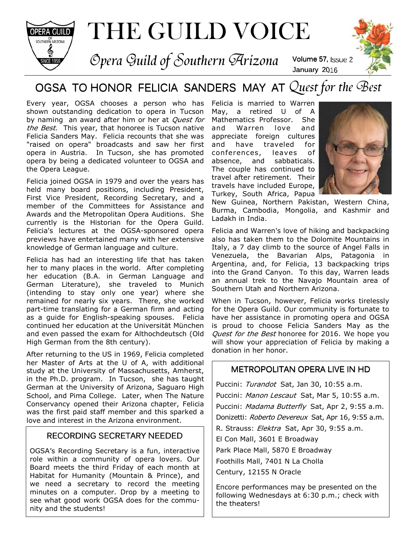

THE GUILD VOICE

Opera Guild of Southern Arizona Volume 57, Issue 2



# OGSA TO HONOR FELICIA SANDERS MAY AT Quest for the Best

Every year, OGSA chooses a person who has Felicia is married to Warren shown outstanding dedication to opera in Tucson by naming an award after him or her at Quest for the Best. This year, that honoree is Tucson native Felicia Sanders May. Felicia recounts that she was "raised on opera" broadcasts and saw her first opera in Austria. In Tucson, she has promoted opera by being a dedicated volunteer to OGSA and the Opera League.

Felicia joined OGSA in 1979 and over the years has held many board positions, including President, First Vice President, Recording Secretary, and a member of the Committees for Assistance and Awards and the Metropolitan Opera Auditions. She currently is the Historian for the Opera Guild. Felicia's lectures at the OGSA-sponsored opera previews have entertained many with her extensive knowledge of German language and culture.

Felicia has had an interesting life that has taken her to many places in the world. After completing her education (B.A. in German Language and German Literature), she traveled to Munich (intending to stay only one year) where she remained for nearly six years. There, she worked part-time translating for a German firm and acting as a guide for English-speaking spouses. Felicia continued her education at the Universität München and even passed the exam for Althochdeutsch (Old High German from the 8th century).

After returning to the US in 1969, Felicia completed her Master of Arts at the U of A, with additional study at the University of Massachusetts, Amherst, in the Ph.D. program. In Tucson, she has taught German at the University of Arizona, Saguaro High School, and Pima College. Later, when The Nature Conservancy opened their Arizona chapter, Felicia was the first paid staff member and this sparked a love and interest in the Arizona environment.

### RECORDING SECRETARY NEEDED

OGSA's Recording Secretary is a fun, interactive role within a community of opera lovers. Our Board meets the third Friday of each month at Habitat for Humanity (Mountain & Prince), and we need a secretary to record the meeting minutes on a computer. Drop by a meeting to see what good work OGSA does for the community and the students!

May, a retired U of A Mathematics Professor. She and Warren love and appreciate foreign cultures and have traveled for conferences, leaves of absence, and sabbaticals. The couple has continued to travel after retirement. Their travels have included Europe, Turkey, South Africa, Papua



New Guinea, Northern Pakistan, Western China, Burma, Cambodia, Mongolia, and Kashmir and Ladakh in India.

January 2016

Felicia and Warren's love of hiking and backpacking also has taken them to the Dolomite Mountains in Italy, a 7 day climb to the source of Angel Falls in Venezuela, the Bavarian Alps, Patagonia in Argentina, and, for Felicia, 13 backpacking trips into the Grand Canyon. To this day, Warren leads an annual trek to the Navajo Mountain area of Southern Utah and Northern Arizona.

When in Tucson, however, Felicia works tirelessly for the Opera Guild. Our community is fortunate to have her assistance in promoting opera and OGSA is proud to choose Felicia Sanders May as the Quest for the Best honoree for 2016. We hope you will show your appreciation of Felicia by making a donation in her honor.

### METROPOLITAN OPERA LIVE IN HD

Puccini: Turandot Sat, Jan 30, 10:55 a.m. Puccini: Manon Lescaut Sat, Mar 5, 10:55 a.m. Puccini: Madama Butterfly Sat, Apr 2, 9:55 a.m. Donizetti: Roberto Devereux Sat, Apr 16, 9:55 a.m. R. Strauss: Elektra Sat, Apr 30, 9:55 a.m. El Con Mall, 3601 E Broadway Park Place Mall, 5870 E Broadway Foothills Mall, 7401 N La Cholla Century, 12155 N Oracle

Encore performances may be presented on the following Wednesdays at 6:30 p.m.; check with the theaters!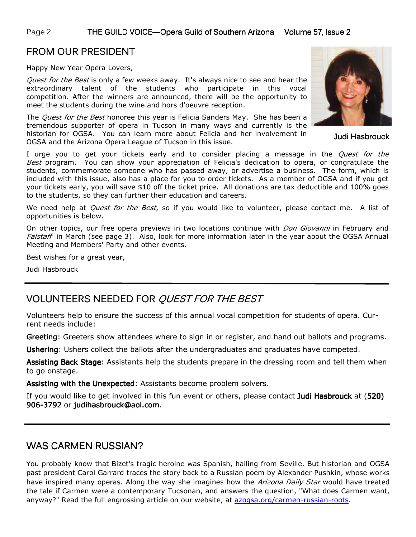### FROM OUR PRESIDENT

Happy New Year Opera Lovers,

*Quest for the Best* is only a few weeks away. It's always nice to see and hear the extraordinary talent of the students who participate in this vocal competition. After the winners are announced, there will be the opportunity to meet the students during the wine and hors d'oeuvre reception.

The *Quest for the Best* honoree this year is Felicia Sanders May. She has been a tremendous supporter of opera in Tucson in many ways and currently is the historian for OGSA. You can learn more about Felicia and her involvement in OGSA and the Arizona Opera League of Tucson in this issue.

I urge you to get your tickets early and to consider placing a message in the *Quest for the* Best program. You can show your appreciation of Felicia's dedication to opera, or congratulate the students, commemorate someone who has passed away, or advertise a business. The form, which is included with this issue, also has a place for you to order tickets. As a member of OGSA and if you get your tickets early, you will save \$10 off the ticket price. All donations are tax deductible and 100% goes to the students, so they can further their education and careers.

We need help at *Quest for the Best*, so if you would like to volunteer, please contact me. A list of opportunities is below.

On other topics, our free opera previews in two locations continue with *Don Giovanni* in February and Falstaff in March (see page 3). Also, look for more information later in the year about the OGSA Annual Meeting and Members' Party and other events.

Best wishes for a great year,

Judi Hasbrouck

## VOLUNTEERS NEEDED FOR QUEST FOR THE BEST

Volunteers help to ensure the success of this annual vocal competition for students of opera. Current needs include:

Greeting: Greeters show attendees where to sign in or register, and hand out ballots and programs.

Ushering: Ushers collect the ballots after the undergraduates and graduates have competed.

Assisting Back Stage: Assistants help the students prepare in the dressing room and tell them when to go onstage.

Assisting with the Unexpected: Assistants become problem solvers.

If you would like to get involved in this fun event or others, please contact Judi Hasbrouck at (520) 906-3792 or judihasbrouck@aol.com.

### WAS CARMEN RUSSIAN?

You probably know that Bizet's tragic heroine was Spanish, hailing from Seville. But historian and OGSA past president Carol Garrard traces the story back to a Russian poem by Alexander Pushkin, whose works have inspired many operas. Along the way she imagines how the *Arizona Daily Star* would have treated the tale if Carmen were a contemporary Tucsonan, and answers the question, "What does Carmen want, anyway?" Read the full engrossing article on our website, at azogsa.org/carmen-russian-roots.



Judi Hasbrouck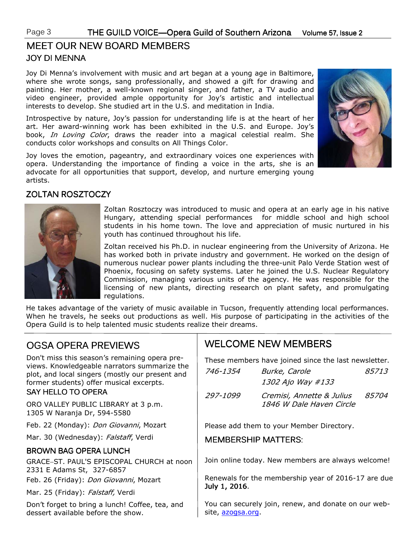## JOY DI MENNA JOY DI MENNA MEET OUR NEW BOARD MEMBERS

Joy Di Menna's involvement with music and art began at a young age in Baltimore, where she wrote songs, sang professionally, and showed a gift for drawing and painting. Her mother, a well-known regional singer, and father, a TV audio and video engineer, provided ample opportunity for Joy's artistic and intellectual interests to develop. She studied art in the U.S. and meditation in India.

Introspective by nature, Joy's passion for understanding life is at the heart of her art. Her award-winning work has been exhibited in the U.S. and Europe. Joy's book, In Loving Color, draws the reader into a magical celestial realm. She conducts color workshops and consults on All Things Color.

Joy loves the emotion, pageantry, and extraordinary voices one experiences with opera. Understanding the importance of finding a voice in the arts, she is an advocate for all opportunities that support, develop, and nurture emerging young artists.



### ZOLTAN ROSZTOCZY



Zoltan Rosztoczy was introduced to music and opera at an early age in his native Hungary, attending special performances for middle school and high school students in his home town. The love and appreciation of music nurtured in his youth has continued throughout his life.

Zoltan received his Ph.D. in nuclear engineering from the University of Arizona. He has worked both in private industry and government. He worked on the design of numerous nuclear power plants including the three-unit Palo Verde Station west of Phoenix, focusing on safety systems. Later he joined the U.S. Nuclear Regulatory Commission, managing various units of the agency. He was responsible for the licensing of new plants, directing research on plant safety, and promulgating regulations.

He takes advantage of the variety of music available in Tucson, frequently attending local performances. When he travels, he seeks out productions as well. His purpose of participating in the activities of the Opera Guild is to help talented music students realize their dreams.

## OGSA OPERA PREVIEWS

Don't miss this season's remaining opera previews. Knowledgeable narrators summarize the plot, and local singers (mostly our present and former students) offer musical excerpts.

#### SAY HELLO TO OPERA

ORO VALLEY PUBLIC LIBRARY at 3 p.m. 1305 W Naranja Dr, 594-5580

Feb. 22 (Monday): Don Giovanni, Mozart

Mar. 30 (Wednesday): Falstaff, Verdi

#### BROWN BAG OPERA LUNCH

GRACE−ST. PAUL'S EPISCOPAL CHURCH at noon 2331 E Adams St, 327-6857 Feb. 26 (Friday): Don Giovanni, Mozart

Mar. 25 (Friday): Falstaff, Verdi

Don't forget to bring a lunch! Coffee, tea, and dessert available before the show.

## WELCOME NEW MEMBERS

These members have joined since the last newsletter.

| 746-1354 | Burke, Carole<br>1302 Ajo Way #133                    | 85713        |
|----------|-------------------------------------------------------|--------------|
| 297-1099 | Cremisi, Annette & Julius<br>1846 W Dale Haven Circle | <i>85704</i> |

Please add them to your Member Directory.

### MEMBERSHIP MATTERS:

Join online today. New members are always welcome!

Renewals for the membership year of 2016-17 are due July 1, 2016.

You can securely join, renew, and donate on our website, azogsa.org.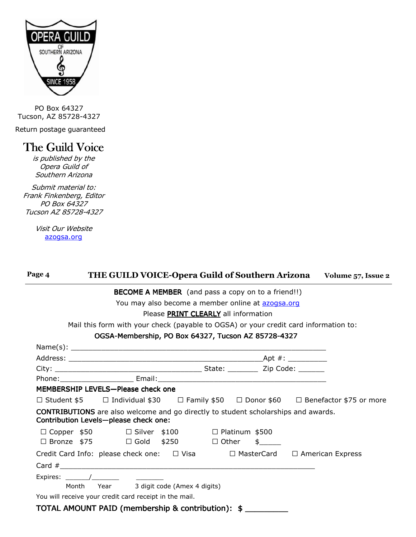

PO Box 64327 Tucson, AZ 85728-4327

Return postage guaranteed

# The Guild Voice

is published by the Opera Guild of Southern Arizona

Submit material to: Frank Finkenberg, Editor PO Box 64327 Tucson AZ 85728-4327

> Visit Our Website azogsa.org

| Page 4 | THE GUILD VOICE-Opera Guild of Southern Arizona Volume 57, Issue 2                                                                 |  |  |
|--------|------------------------------------------------------------------------------------------------------------------------------------|--|--|
|        | <b>BECOME A MEMBER</b> (and pass a copy on to a friend!!)                                                                          |  |  |
|        | You may also become a member online at azogsa.org                                                                                  |  |  |
|        | Please PRINT CLEARLY all information                                                                                               |  |  |
|        | Mail this form with your check (payable to OGSA) or your credit card information to:                                               |  |  |
|        | OGSA-Membership, PO Box 64327, Tucson AZ 85728-4327                                                                                |  |  |
|        |                                                                                                                                    |  |  |
|        |                                                                                                                                    |  |  |
|        |                                                                                                                                    |  |  |
|        |                                                                                                                                    |  |  |
|        | MEMBERSHIP LEVELS-Please check one                                                                                                 |  |  |
|        | U Student \$5 U Individual \$30 U Family \$50 U Donor \$60 U Benefactor \$75 or more                                               |  |  |
|        | <b>CONTRIBUTIONS</b> are also welcome and go directly to student scholarships and awards.<br>Contribution Levels-please check one: |  |  |
|        | U Copper \$50 U Silver \$100 U Platinum \$500                                                                                      |  |  |
|        | U Bronze \$75 U Gold \$250 U Other \$                                                                                              |  |  |
|        | Credit Card Info: please check one: U Visa U MasterCard U American Express                                                         |  |  |
|        | Card $\#$                                                                                                                          |  |  |
|        |                                                                                                                                    |  |  |
|        | Month Year 3 digit code (Amex 4 digits)                                                                                            |  |  |
|        | You will receive your credit card receipt in the mail.                                                                             |  |  |
|        | TOTAL AMOUNT PAID (membership & contribution): \$                                                                                  |  |  |
|        |                                                                                                                                    |  |  |